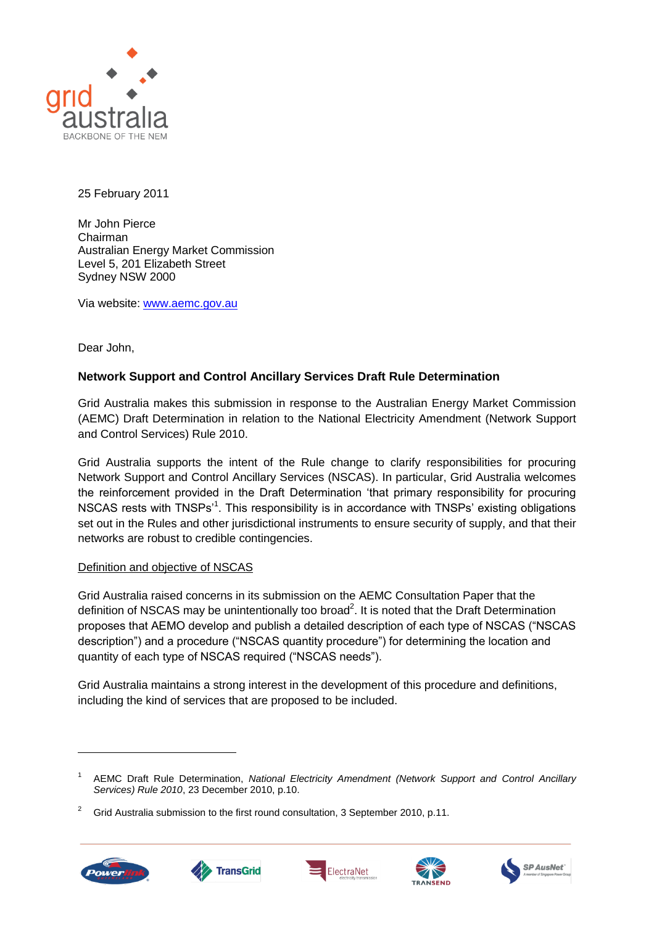

25 February 2011

Mr John Pierce Chairman Australian Energy Market Commission Level 5, 201 Elizabeth Street Sydney NSW 2000

Via website: [www.aemc.gov.au](http://www.aemc.gov.au/)

Dear John,

## **Network Support and Control Ancillary Services Draft Rule Determination**

Grid Australia makes this submission in response to the Australian Energy Market Commission (AEMC) Draft Determination in relation to the National Electricity Amendment (Network Support and Control Services) Rule 2010.

Grid Australia supports the intent of the Rule change to clarify responsibilities for procuring Network Support and Control Ancillary Services (NSCAS). In particular, Grid Australia welcomes the reinforcement provided in the Draft Determination "that primary responsibility for procuring NSCAS rests with TNSPs<sup>1</sup>. This responsibility is in accordance with TNSPs' existing obligations set out in the Rules and other jurisdictional instruments to ensure security of supply, and that their networks are robust to credible contingencies.

### Definition and objective of NSCAS

Grid Australia raised concerns in its submission on the AEMC Consultation Paper that the definition of NSCAS may be unintentionally too broad<sup>2</sup>. It is noted that the Draft Determination proposes that AEMO develop and publish a detailed description of each type of NSCAS ("NSCAS description") and a procedure ("NSCAS quantity procedure") for determining the location and quantity of each type of NSCAS required ("NSCAS needs").

Grid Australia maintains a strong interest in the development of this procedure and definitions, including the kind of services that are proposed to be included.

<sup>2</sup> Grid Australia submission to the first round consultation, 3 September 2010, p.11.











<sup>1</sup> AEMC Draft Rule Determination, *National Electricity Amendment (Network Support and Control Ancillary Services) Rule 2010*, 23 December 2010, p.10.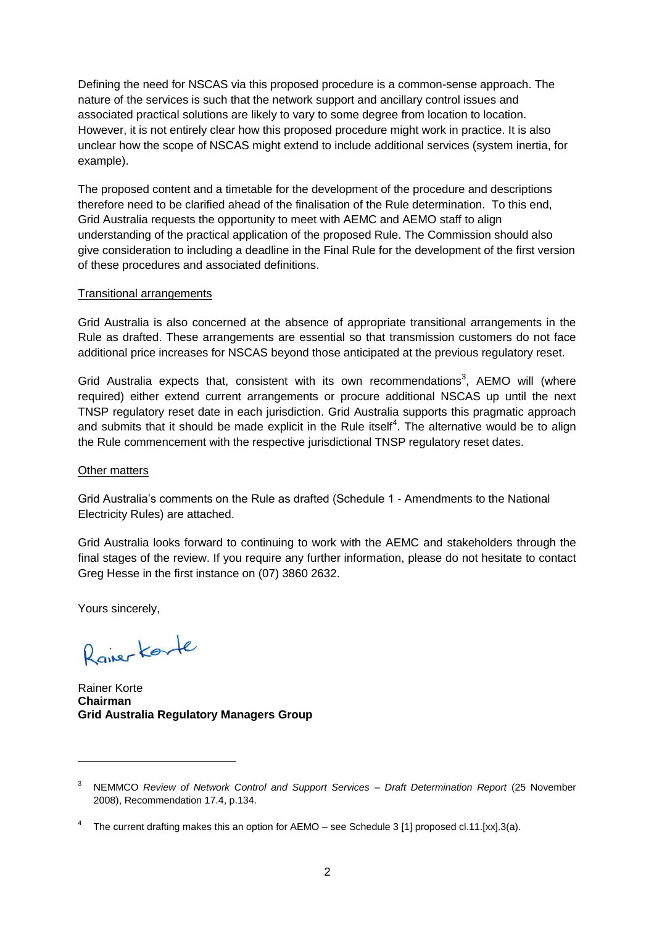Defining the need for NSCAS via this proposed procedure is a common-sense approach. The nature of the services is such that the network support and ancillary control issues and associated practical solutions are likely to vary to some degree from location to location. However, it is not entirely clear how this proposed procedure might work in practice. It is also unclear how the scope of NSCAS might extend to include additional services (system inertia, for example).

The proposed content and a timetable for the development of the procedure and descriptions therefore need to be clarified ahead of the finalisation of the Rule determination. To this end, Grid Australia requests the opportunity to meet with AEMC and AEMO staff to align understanding of the practical application of the proposed Rule. The Commission should also give consideration to including a deadline in the Final Rule for the development of the first version of these procedures and associated definitions.

#### Transitional arrangements

Grid Australia is also concerned at the absence of appropriate transitional arrangements in the Rule as drafted. These arrangements are essential so that transmission customers do not face additional price increases for NSCAS beyond those anticipated at the previous regulatory reset.

Grid Australia expects that, consistent with its own recommendations<sup>3</sup>, AEMO will (where required) either extend current arrangements or procure additional NSCAS up until the next TNSP regulatory reset date in each jurisdiction. Grid Australia supports this pragmatic approach and submits that it should be made explicit in the Rule itself<sup>4</sup>. The alternative would be to align the Rule commencement with the respective jurisdictional TNSP regulatory reset dates.

#### Other matters

Grid Australia"s comments on the Rule as drafted (Schedule 1 - Amendments to the National Electricity Rules) are attached.

Grid Australia looks forward to continuing to work with the AEMC and stakeholders through the final stages of the review. If you require any further information, please do not hesitate to contact Greg Hesse in the first instance on (07) 3860 2632.

Yours sincerely,

 $\overline{a}$ 

Raiser Korte

Rainer Korte **Chairman Grid Australia Regulatory Managers Group**

<sup>3</sup> NEMMCO *Review of Network Control and Support Services – Draft Determination Report* (25 November 2008), Recommendation 17.4, p.134.

<sup>&</sup>lt;sup>4</sup> The current drafting makes this an option for AEMO – see Schedule 3 [1] proposed cl.11.[xx].3(a).